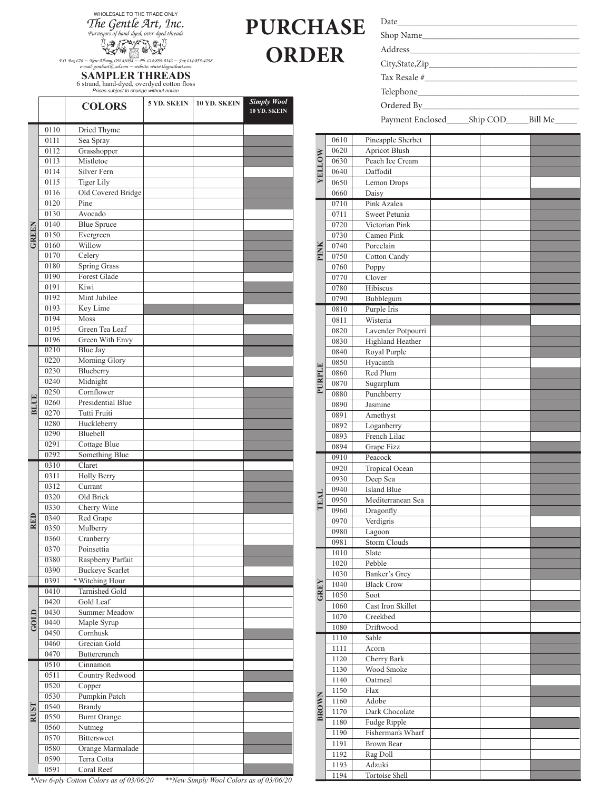WHOLESALE TO THE TRADE ONLY *The Gentle Art, Inc. Purveyors of hand-dyed, over-dyed threads*

*P.O. Box 670 ~ New Albany, OH 43054 ~ Ph. 614/855-8346 ~ Fax 614/855-4298 e-mail: gentleart@aol.com ~ website: www.thegentleart.com*

## **SAMPLER THREADS** 6 strand, hand-dyed, overdyed cotton floss *Prices subject to change without notice.*

|             |              | <b>COLORS</b>                             | 5 YD. SKEIN | 10 YD. SKEIN | <b>Simply Wool</b><br>10 YD. SKEIN |
|-------------|--------------|-------------------------------------------|-------------|--------------|------------------------------------|
|             | 0110         | Dried Thyme                               |             |              |                                    |
|             | 0111         | Sea Spray                                 |             |              |                                    |
|             | 0112         | Grasshopper                               |             |              |                                    |
|             | 0113         | Mistletoe                                 |             |              |                                    |
|             | 0114         | Silver Fern                               |             |              |                                    |
|             | 0115         | <b>Tiger Lily</b>                         |             |              |                                    |
|             | 0116         | Old Covered Bridge                        |             |              |                                    |
|             | 0120         | Pine                                      |             |              |                                    |
|             | 0130         | Avocado                                   |             |              |                                    |
|             | 0140         | <b>Blue Spruce</b>                        |             |              |                                    |
| GREEN       | 0150         | Evergreen                                 |             |              |                                    |
|             | 0160         | Willow                                    |             |              |                                    |
|             | 0170         | Celery                                    |             |              |                                    |
|             | 0180         | <b>Spring Grass</b>                       |             |              |                                    |
|             | 0190         | Forest Glade                              |             |              |                                    |
|             | 0191         | Kiwi                                      |             |              |                                    |
|             | 0192         | Mint Jubilee                              |             |              |                                    |
|             | 0193         | Key Lime                                  |             |              |                                    |
|             | 0194<br>0195 | Moss<br>Green Tea Leaf                    |             |              |                                    |
|             | 0196         | Green With Envy                           |             |              |                                    |
|             | 0210         | <b>Blue Jay</b>                           |             |              |                                    |
|             | 0220         | Morning Glory                             |             |              |                                    |
|             | 0230         | Blueberry                                 |             |              |                                    |
|             | 0240         | Midnight                                  |             |              |                                    |
|             | 0250         | Cornflower                                |             |              |                                    |
| <b>BLUE</b> | 0260         | <b>Presidential Blue</b>                  |             |              |                                    |
|             | 0270         | Tutti Fruiti                              |             |              |                                    |
|             | 0280         | Huckleberry                               |             |              |                                    |
|             | 0290         | Bluebell                                  |             |              |                                    |
|             | 0291         | Cottage Blue                              |             |              |                                    |
|             | 0292         | Something Blue                            |             |              |                                    |
|             | 0310         | Claret                                    |             |              |                                    |
|             | 0311         | <b>Holly Berry</b>                        |             |              |                                    |
|             | 0312         | Currant                                   |             |              |                                    |
|             | 0320         | Old Brick                                 |             |              |                                    |
|             | 0330         | Cherry Wine                               |             |              |                                    |
| RED         | 0340         | Red Grape                                 |             |              |                                    |
|             | 0350         | Mulberry                                  |             |              |                                    |
|             | 0360         | Cranberry                                 |             |              |                                    |
|             | 0370         | Poinsettia                                |             |              |                                    |
|             | 0380         | Raspberry Parfait                         |             |              |                                    |
|             | 0390<br>0391 | <b>Buckeye Scarlet</b><br>* Witching Hour |             |              |                                    |
|             | 0410         | Tarnished Gold                            |             |              |                                    |
|             | 0420         | Gold Leaf                                 |             |              |                                    |
|             | 0430         | Summer Meadow                             |             |              |                                    |
| GOLIO       | 0440         | Maple Syrup                               |             |              |                                    |
|             | 0450         | Cornhusk                                  |             |              |                                    |
|             | 0460         | Grecian Gold                              |             |              |                                    |
|             | 0470         | Buttercrunch                              |             |              |                                    |
|             | 0510         | Cinnamon                                  |             |              |                                    |
|             | 0511         | Country Redwood                           |             |              |                                    |
|             | 0520         | Copper                                    |             |              |                                    |
|             | 0530         | Pumpkin Patch                             |             |              |                                    |
|             | 0540         | <b>Brandy</b>                             |             |              |                                    |
| <b>RUST</b> | 0550         | <b>Burnt Orange</b>                       |             |              |                                    |
|             | 0560         | Nutmeg                                    |             |              |                                    |
|             | 0570         | <b>Bittersweet</b>                        |             |              |                                    |
|             | 0580         | Orange Marmalade                          |             |              |                                    |
|             | 0590         | Terra Cotta                               |             |              |                                    |
|             | 0591         | Coral Reef                                |             |              |                                    |

*\*New 6-ply Cotton Colors as of 03/06/20 \*\*New Simply Wool Colors as of 03/06/20*

| PURCHASE     |
|--------------|
| <b>ORDER</b> |

| I |  |  |
|---|--|--|
|   |  |  |

Address\_\_\_\_\_\_\_\_\_\_\_\_\_\_\_\_\_\_\_\_\_\_\_\_\_\_\_\_\_\_\_\_\_\_\_\_\_\_

City,State,Zip\_\_\_\_\_\_\_\_\_\_\_\_\_\_\_\_\_\_\_\_\_\_\_\_\_\_\_\_\_\_\_\_\_

Tax Resale #\_

Telephone\_\_\_\_\_\_\_\_\_\_\_\_\_\_\_\_\_\_\_\_\_\_\_\_\_\_\_\_\_\_\_\_\_\_\_\_

Ordered By\_

Payment Enclosed\_\_\_\_\_\_Ship COD\_\_\_\_\_Bill Me\_\_

| <b>ANOTIFIX</b> | 0610 | Pineapple Sherbet    |  |  |
|-----------------|------|----------------------|--|--|
|                 | 0620 | <b>Apricot Blush</b> |  |  |
|                 | 0630 | Peach Ice Cream      |  |  |
|                 | 0640 | Daffodil             |  |  |
|                 | 0650 | Lemon Drops          |  |  |
|                 | 0660 | Daisy                |  |  |
|                 | 0710 | Pink Azalea          |  |  |
|                 | 0711 | Sweet Petunia        |  |  |
|                 | 0720 | Victorian Pink       |  |  |
|                 |      | Cameo Pink           |  |  |
|                 | 0730 |                      |  |  |
| PINK            | 0740 | Porcelain            |  |  |
|                 | 0750 | Cotton Candy         |  |  |
|                 | 0760 | Poppy                |  |  |
|                 | 0770 | Clover               |  |  |
|                 | 0780 | Hibiscus             |  |  |
|                 | 0790 | Bubblegum            |  |  |
|                 | 0810 | Purple Iris          |  |  |
|                 | 0811 | Wisteria             |  |  |
|                 | 0820 | Lavender Potpourri   |  |  |
|                 | 0830 | Highland Heather     |  |  |
|                 | 0840 | Royal Purple         |  |  |
|                 | 0850 | Hyacinth             |  |  |
| PURPLE          | 0860 | Red Plum             |  |  |
|                 | 0870 | Sugarplum            |  |  |
|                 | 0880 | Punchberry           |  |  |
|                 | 0890 | Jasmine              |  |  |
|                 | 0891 | Amethyst             |  |  |
|                 | 0892 | Loganberry           |  |  |
|                 | 0893 | French Lilac         |  |  |
|                 | 0894 | Grape Fizz           |  |  |
|                 | 0910 | Peacock              |  |  |
|                 | 0920 | Tropical Ocean       |  |  |
|                 | 0930 | Deep Sea             |  |  |
|                 | 0940 | <b>Island Blue</b>   |  |  |
|                 | 0950 | Mediterranean Sea    |  |  |
| TEAI            | 0960 | Dragonfly            |  |  |
|                 | 0970 | Verdigris            |  |  |
|                 | 0980 | Lagoon               |  |  |
|                 | 0981 | Storm Clouds         |  |  |
|                 |      |                      |  |  |
|                 | 1010 | Slate<br>Pebble      |  |  |
|                 | 1020 |                      |  |  |
|                 | 1030 | Banker's Grey        |  |  |
| GREY            | 1040 | <b>Black Crow</b>    |  |  |
|                 | 1050 | Soot                 |  |  |
|                 | 1060 | Cast Iron Skillet    |  |  |
|                 | 1070 | Creekbed             |  |  |
|                 | 1080 | Driftwood            |  |  |
|                 | 1110 | Sable                |  |  |
|                 | 1111 | Acorn                |  |  |
|                 | 1120 | Cherry Bark          |  |  |
|                 | 1130 | Wood Smoke           |  |  |
|                 | 1140 | Oatmeal              |  |  |
|                 | 1150 | Flax                 |  |  |
| <b>BROWN</b>    | 1160 | Adobe                |  |  |
|                 | 1170 | Dark Chocolate       |  |  |
|                 | 1180 | Fudge Ripple         |  |  |
|                 | 1190 | Fisherman's Wharf    |  |  |
|                 | 1191 | Brown Bear           |  |  |
|                 | 1192 | Rag Doll             |  |  |
|                 | 1193 | Adzuki               |  |  |
|                 | 1194 | Tortoise Shell       |  |  |

Date\_\_\_\_\_\_\_\_\_\_\_\_\_\_\_\_\_\_\_\_\_\_\_\_\_\_\_\_\_\_\_\_\_\_\_\_\_\_\_\_

Shop Name\_\_\_\_\_\_\_\_\_\_\_\_\_\_\_\_\_\_\_\_\_\_\_\_\_\_\_\_\_\_\_\_\_\_\_